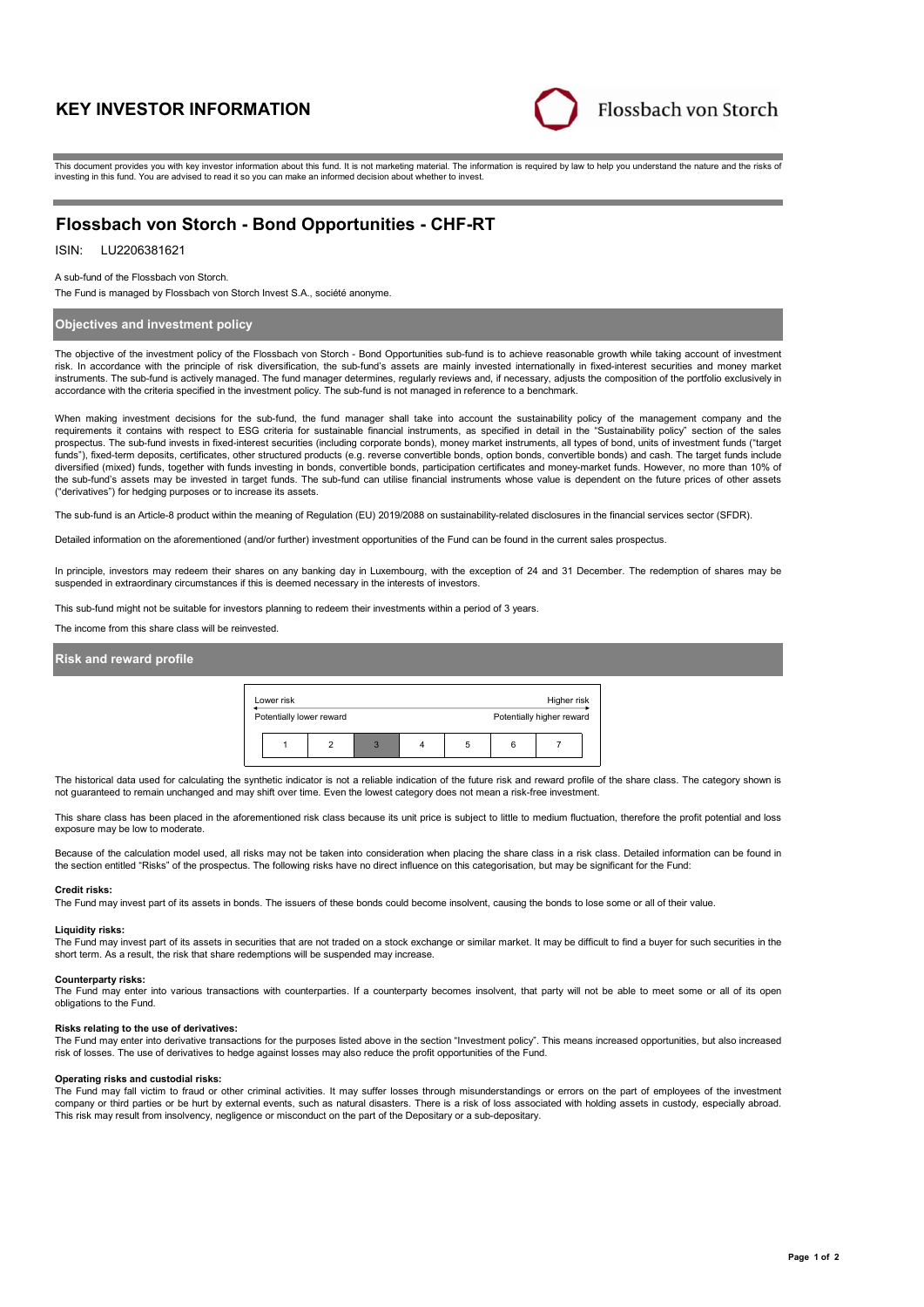# **KEY INVESTOR INFORMATION**



This document provides you with key investor information about this fund. It is not marketing material. The information is required by law to help you understand the nature and the risks of investing in this fund. You are advised to read it so you can make an informed decision about whether to invest.

# **Flossbach von Storch - Bond Opportunities - CHF-RT**

ISIN: LU2206381621

A sub-fund of the Flossbach von Storch.

The Fund is managed by Flossbach von Storch Invest S.A., société anonyme.

## **Objectives and investment policy**

The objective of the investment policy of the Flossbach von Storch - Bond Opportunities sub-fund is to achieve reasonable growth while taking account of investment risk. In accordance with the principle of risk diversification, the sub-fund's assets are mainly invested internationally in fixed-interest securities and money market instruments. The sub-fund is actively managed. The fund manager determines, regularly reviews and, if necessary, adjusts the composition of the portfolio exclusively in accordance with the criteria specified in the investment policy. The sub-fund is not managed in reference to a benchmark.

When making investment decisions for the sub-fund, the fund manager shall take into account the sustainability policy of the management company and the requirements it contains with respect to ESG criteria for sustainable financial instruments, as specified in detail in the "Sustainability policy" section of the sales prospectus. The sub-fund invests in fixed-interest securities (including corporate bonds), money market instruments, all types of bond, units of investment funds ("target funds"), fixed-term deposits, certificates, other structured products (e.g. reverse convertible bonds, option bonds, convertible bonds) and cash. The target funds include diversified (mixed) funds, together with funds investing in bonds, convertible bonds, participation certificates and money-market funds. However, no more than 10% of the sub-fund's assets may be invested in target funds. The sub-fund can utilise financial instruments whose value is dependent on the future prices of other assets ("derivatives") for hedging purposes or to increase its assets.

The sub-fund is an Article-8 product within the meaning of Regulation (EU) 2019/2088 on sustainability-related disclosures in the financial services sector (SFDR).

Detailed information on the aforementioned (and/or further) investment opportunities of the Fund can be found in the current sales prospectus.

In principle, investors may redeem their shares on any banking day in Luxembourg, with the exception of 24 and 31 December. The redemption of shares may be suspended in extraordinary circumstances if this is deemed necessary in the interests of investors.

This sub-fund might not be suitable for investors planning to redeem their investments within a period of 3 years.

The income from this share class will be reinvested.

## **Risk and reward profile**

| Lower risk<br>Higher risk |  |   |  |   |   |                           |  |  |
|---------------------------|--|---|--|---|---|---------------------------|--|--|
| Potentially lower reward  |  |   |  |   |   | Potentially higher reward |  |  |
|                           |  | з |  | 5 | 6 |                           |  |  |

The historical data used for calculating the synthetic indicator is not a reliable indication of the future risk and reward profile of the share class. The category shown is not guaranteed to remain unchanged and may shift over time. Even the lowest category does not mean a risk-free investment.

This share class has been placed in the aforementioned risk class because its unit price is subject to little to medium fluctuation, therefore the profit potential and loss exposure may be low to moderate.

Because of the calculation model used, all risks may not be taken into consideration when placing the share class in a risk class. Detailed information can be found in the section entitled "Risks" of the prospectus. The following risks have no direct influence on this categorisation, but may be significant for the Fund:

#### **Credit risks:**

The Fund may invest part of its assets in bonds. The issuers of these bonds could become insolvent, causing the bonds to lose some or all of their value.

#### **Liquidity risks:**

The Fund may invest part of its assets in securities that are not traded on a stock exchange or similar market. It may be difficult to find a buyer for such securities in the short term. As a result, the risk that share redemptions will be suspended may increase.

#### **Counterparty risks:**

The Fund may enter into various transactions with counterparties. If a counterparty becomes insolvent, that party will not be able to meet some or all of its open obligations to the Fund.

### **Risks relating to the use of derivatives:**

The Fund may enter into derivative transactions for the purposes listed above in the section "Investment policy". This means increased opportunities, but also increased risk of losses. The use of derivatives to hedge against losses may also reduce the profit opportunities of the Fund.

### **Operating risks and custodial risks:**

The Fund may fall victim to fraud or other criminal activities. It may suffer losses through misunderstandings or errors on the part of employees of the investment company or third parties or be hurt by external events, such as natural disasters. There is a risk of loss associated with holding assets in custody, especially abroad. This risk may result from insolvency, negligence or misconduct on the part of the Depositary or a sub-depositary.